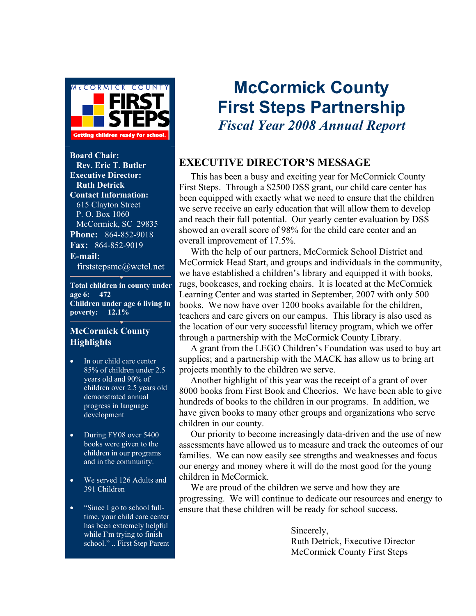

**Board Chair: Rev. Eric T. Butler Executive Director: Ruth Detrick Contact Information:**  615 Clayton Street P. O. Box 1060 McCormick, SC 29835 **Phone:** 864-852-9018 **Fax:** 864-852-9019 **E-mail:**  firststepsmc@wctel.net

**Total children in county under age 6: 472 Children under age 6 living in poverty: 12.1%** 

#### **McCormick County Highlights**

- In our child care center 85% of children under 2.5 years old and 90% of children over 2.5 years old demonstrated annual progress in language development
- During FY08 over 5400 books were given to the children in our programs and in the community.
- We served 126 Adults and 391 Children
- "Since I go to school fulltime, your child care center has been extremely helpful while I'm trying to finish school." .. First Step Parent

## **McCormick County First Steps Partnership**  *Fiscal Year 2008 Annual Report*

### **EXECUTIVE DIRECTOR'S MESSAGE**

 This has been a busy and exciting year for McCormick County First Steps. Through a \$2500 DSS grant, our child care center has been equipped with exactly what we need to ensure that the children we serve receive an early education that will allow them to develop and reach their full potential. Our yearly center evaluation by DSS showed an overall score of 98% for the child care center and an overall improvement of 17.5%.

 With the help of our partners, McCormick School District and McCormick Head Start, and groups and individuals in the community, we have established a children's library and equipped it with books, rugs, bookcases, and rocking chairs. It is located at the McCormick Learning Center and was started in September, 2007 with only 500 books. We now have over 1200 books available for the children, teachers and care givers on our campus. This library is also used as the location of our very successful literacy program, which we offer through a partnership with the McCormick County Library.

 A grant from the LEGO Children's Foundation was used to buy art supplies; and a partnership with the MACK has allow us to bring art projects monthly to the children we serve.

 Another highlight of this year was the receipt of a grant of over 8000 books from First Book and Cheerios. We have been able to give hundreds of books to the children in our programs. In addition, we have given books to many other groups and organizations who serve children in our county.

 Our priority to become increasingly data-driven and the use of new assessments have allowed us to measure and track the outcomes of our families. We can now easily see strengths and weaknesses and focus our energy and money where it will do the most good for the young children in McCormick.

 We are proud of the children we serve and how they are progressing. We will continue to dedicate our resources and energy to ensure that these children will be ready for school success.

> Sincerely, Ruth Detrick, Executive Director McCormick County First Steps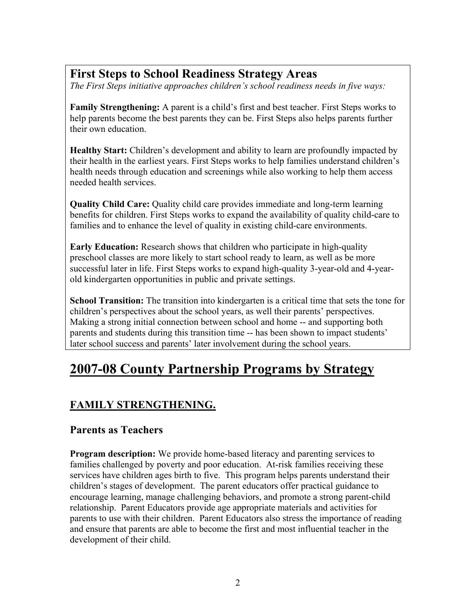## **First Steps to School Readiness Strategy Areas**

*The First Steps initiative approaches children's school readiness needs in five ways:* 

**Family Strengthening:** A parent is a child's first and best teacher. First Steps works to help parents become the best parents they can be. First Steps also helps parents further their own education.

**Healthy Start:** Children's development and ability to learn are profoundly impacted by their health in the earliest years. First Steps works to help families understand children's health needs through education and screenings while also working to help them access needed health services.

**Quality Child Care:** Quality child care provides immediate and long-term learning benefits for children. First Steps works to expand the availability of quality child-care to families and to enhance the level of quality in existing child-care environments.

**Early Education:** Research shows that children who participate in high-quality preschool classes are more likely to start school ready to learn, as well as be more successful later in life. First Steps works to expand high-quality 3-year-old and 4-yearold kindergarten opportunities in public and private settings.

**School Transition:** The transition into kindergarten is a critical time that sets the tone for children's perspectives about the school years, as well their parents' perspectives. Making a strong initial connection between school and home -- and supporting both parents and students during this transition time -- has been shown to impact students' later school success and parents' later involvement during the school years.

## **2007-08 County Partnership Programs by Strategy**

## **FAMILY STRENGTHENING.**

### **Parents as Teachers**

**Program description:** We provide home-based literacy and parenting services to families challenged by poverty and poor education. At-risk families receiving these services have children ages birth to five. This program helps parents understand their children's stages of development. The parent educators offer practical guidance to encourage learning, manage challenging behaviors, and promote a strong parent-child relationship. Parent Educators provide age appropriate materials and activities for parents to use with their children. Parent Educators also stress the importance of reading and ensure that parents are able to become the first and most influential teacher in the development of their child.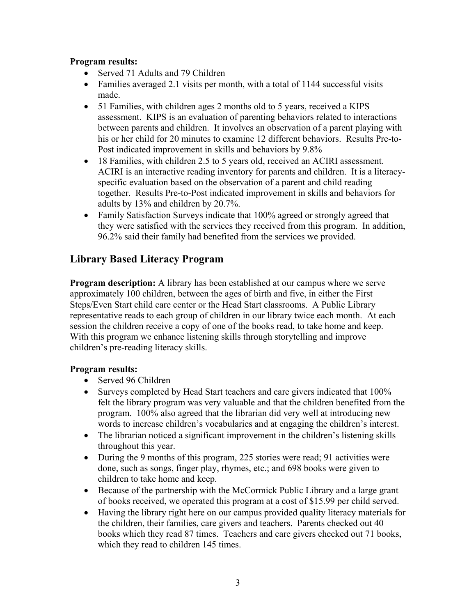#### **Program results:**

- Served 71 Adults and 79 Children
- Families averaged 2.1 visits per month, with a total of 1144 successful visits made.
- 51 Families, with children ages 2 months old to 5 years, received a KIPS assessment. KIPS is an evaluation of parenting behaviors related to interactions between parents and children. It involves an observation of a parent playing with his or her child for 20 minutes to examine 12 different behaviors. Results Pre-to-Post indicated improvement in skills and behaviors by 9.8%
- 18 Families, with children 2.5 to 5 years old, received an ACIRI assessment. ACIRI is an interactive reading inventory for parents and children. It is a literacyspecific evaluation based on the observation of a parent and child reading together. Results Pre-to-Post indicated improvement in skills and behaviors for adults by 13% and children by 20.7%.
- Family Satisfaction Surveys indicate that 100% agreed or strongly agreed that they were satisfied with the services they received from this program. In addition, 96.2% said their family had benefited from the services we provided.

### **Library Based Literacy Program**

**Program description:** A library has been established at our campus where we serve approximately 100 children, between the ages of birth and five, in either the First Steps/Even Start child care center or the Head Start classrooms. A Public Library representative reads to each group of children in our library twice each month. At each session the children receive a copy of one of the books read, to take home and keep. With this program we enhance listening skills through storytelling and improve children's pre-reading literacy skills.

#### **Program results:**

- Served 96 Children
- Surveys completed by Head Start teachers and care givers indicated that 100% felt the library program was very valuable and that the children benefited from the program. 100% also agreed that the librarian did very well at introducing new words to increase children's vocabularies and at engaging the children's interest.
- The librarian noticed a significant improvement in the children's listening skills throughout this year.
- During the 9 months of this program, 225 stories were read; 91 activities were done, such as songs, finger play, rhymes, etc.; and 698 books were given to children to take home and keep.
- Because of the partnership with the McCormick Public Library and a large grant of books received, we operated this program at a cost of \$15.99 per child served.
- Having the library right here on our campus provided quality literacy materials for the children, their families, care givers and teachers. Parents checked out 40 books which they read 87 times. Teachers and care givers checked out 71 books, which they read to children 145 times.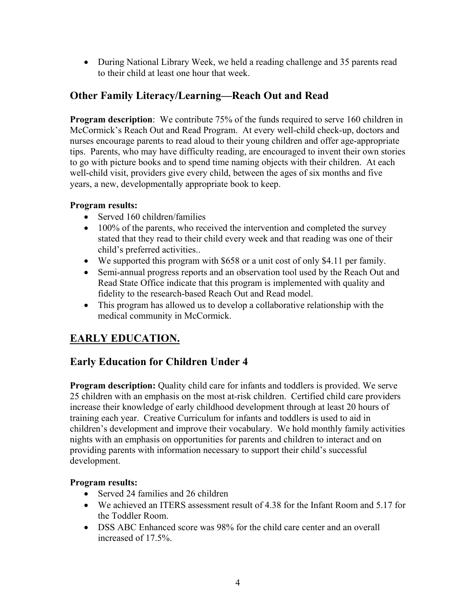• During National Library Week, we held a reading challenge and 35 parents read to their child at least one hour that week.

## **Other Family Literacy/Learning—Reach Out and Read**

**Program description**: We contribute 75% of the funds required to serve 160 children in McCormick's Reach Out and Read Program. At every well-child check-up, doctors and nurses encourage parents to read aloud to their young children and offer age-appropriate tips. Parents, who may have difficulty reading, are encouraged to invent their own stories to go with picture books and to spend time naming objects with their children. At each well-child visit, providers give every child, between the ages of six months and five years, a new, developmentally appropriate book to keep.

#### **Program results:**

- Served 160 children/families
- 100% of the parents, who received the intervention and completed the survey stated that they read to their child every week and that reading was one of their child's preferred activities..
- We supported this program with \$658 or a unit cost of only \$4.11 per family.
- Semi-annual progress reports and an observation tool used by the Reach Out and Read State Office indicate that this program is implemented with quality and fidelity to the research-based Reach Out and Read model.
- This program has allowed us to develop a collaborative relationship with the medical community in McCormick.

## **EARLY EDUCATION.**

## **Early Education for Children Under 4**

**Program description:** Quality child care for infants and toddlers is provided. We serve 25 children with an emphasis on the most at-risk children. Certified child care providers increase their knowledge of early childhood development through at least 20 hours of training each year. Creative Curriculum for infants and toddlers is used to aid in children's development and improve their vocabulary. We hold monthly family activities nights with an emphasis on opportunities for parents and children to interact and on providing parents with information necessary to support their child's successful development.

#### **Program results:**

- Served 24 families and 26 children
- We achieved an ITERS assessment result of 4.38 for the Infant Room and 5.17 for the Toddler Room.
- DSS ABC Enhanced score was 98% for the child care center and an overall increased of 17.5%.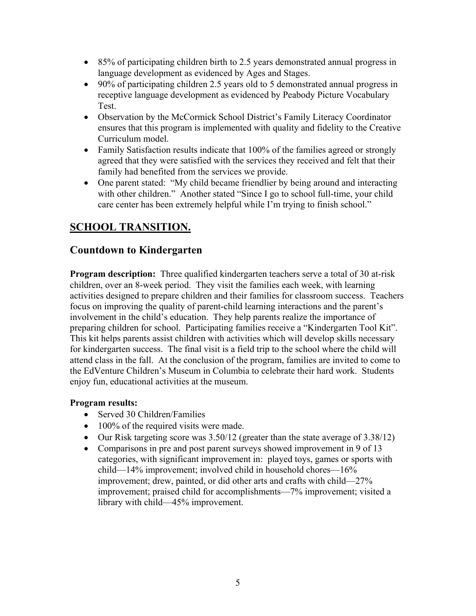- 85% of participating children birth to 2.5 years demonstrated annual progress in language development as evidenced by Ages and Stages.
- 90% of participating children 2.5 years old to 5 demonstrated annual progress in receptive language development as evidenced by Peabody Picture Vocabulary Test.
- Observation by the McCormick School District's Family Literacy Coordinator ensures that this program is implemented with quality and fidelity to the Creative Curriculum model.
- Family Satisfaction results indicate that 100% of the families agreed or strongly agreed that they were satisfied with the services they received and felt that their family had benefited from the services we provide.
- One parent stated: "My child became friendlier by being around and interacting with other children." Another stated "Since I go to school full-time, your child care center has been extremely helpful while I'm trying to finish school."

## **SCHOOL TRANSITION.**

### **Countdown to Kindergarten**

**Program description:** Three qualified kindergarten teachers serve a total of 30 at-risk children, over an 8-week period. They visit the families each week, with learning activities designed to prepare children and their families for classroom success. Teachers focus on improving the quality of parent-child learning interactions and the parent's involvement in the child's education. They help parents realize the importance of preparing children for school. Participating families receive a "Kindergarten Tool Kit". This kit helps parents assist children with activities which will develop skills necessary for kindergarten success. The final visit is a field trip to the school where the child will attend class in the fall. At the conclusion of the program, families are invited to come to the EdVenture Children's Museum in Columbia to celebrate their hard work. Students enjoy fun, educational activities at the museum.

#### **Program results:**

- Served 30 Children/Families
- 100% of the required visits were made.
- Our Risk targeting score was  $3.50/12$  (greater than the state average of  $3.38/12$ )
- Comparisons in pre and post parent surveys showed improvement in 9 of 13 categories, with significant improvement in: played toys, games or sports with child—14% improvement; involved child in household chores—16% improvement; drew, painted, or did other arts and crafts with child—27% improvement; praised child for accomplishments—7% improvement; visited a library with child—45% improvement.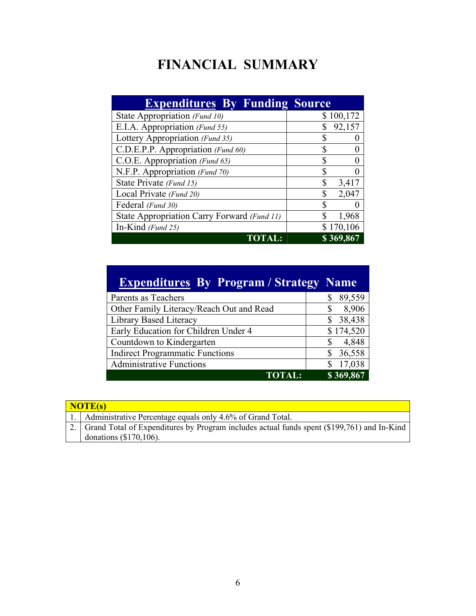## **FINANCIAL SUMMARY**

| <b>Expenditures By Funding Source</b>       |             |  |
|---------------------------------------------|-------------|--|
| State Appropriation (Fund 10)               | \$100,172   |  |
| E.I.A. Appropriation (Fund 55)              | 92,157      |  |
| Lottery Appropriation (Fund 35)             |             |  |
| C.D.E.P.P. Appropriation (Fund 60)          |             |  |
| C.O.E. Appropriation (Fund 65)              | ¢           |  |
| N.F.P. Appropriation (Fund 70)              |             |  |
| State Private (Fund 15)                     | \$<br>3,417 |  |
| Local Private (Fund 20)                     | 2,047       |  |
| Federal (Fund 30)                           |             |  |
| State Appropriation Carry Forward (Fund 11) | 1,968       |  |
| In-Kind (Fund 25)                           | \$170,106   |  |
| <b>TOTA</b>                                 | \$369,867   |  |

| <b>Expenditures By Program / Strategy Name</b> |              |
|------------------------------------------------|--------------|
| Parents as Teachers                            | 89,559<br>\$ |
| Other Family Literacy/Reach Out and Read       | 8,906<br>S   |
| Library Based Literacy                         | 38,438<br>S  |
| Early Education for Children Under 4           | \$174,520    |
| Countdown to Kindergarten                      | 4,848<br>S   |
| <b>Indirect Programmatic Functions</b>         | 36,558       |
| <b>Administrative Functions</b>                | 17,038<br>S  |
| <b>TOTAL:</b>                                  | \$369,867    |

| NOTE(s) |                                                                                               |  |  |  |
|---------|-----------------------------------------------------------------------------------------------|--|--|--|
|         | 1. Administrative Percentage equals only 4.6% of Grand Total.                                 |  |  |  |
|         | 2. Grand Total of Expenditures by Program includes actual funds spent (\$199,761) and In-Kind |  |  |  |
|         | donations $(\$170,106)$ .                                                                     |  |  |  |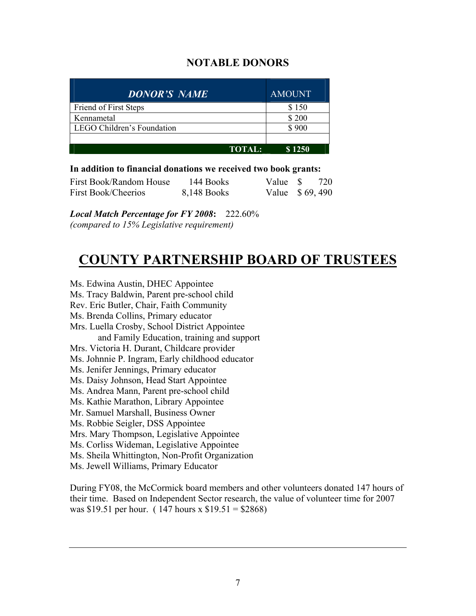### **NOTABLE DONORS**

| <b>DONOR'S NAME</b>        | <b>AMOUNT</b> |  |  |
|----------------------------|---------------|--|--|
| Friend of First Steps      | \$150         |  |  |
| Kennametal                 | \$200         |  |  |
| LEGO Children's Foundation | \$900         |  |  |
|                            |               |  |  |
| <b>TOTAL:</b>              | \$1250        |  |  |

#### **In addition to financial donations we received two book grants:**

| First Book/Random House | 144 Books   | Value \$       | 720 |
|-------------------------|-------------|----------------|-----|
| First Book/Cheerios     | 8,148 Books | Value \$69,490 |     |

*Local Match Percentage for FY 2008***:** 222.60% *(compared to 15% Legislative requirement)* 

## **COUNTY PARTNERSHIP BOARD OF TRUSTEES**

Ms. Edwina Austin, DHEC Appointee Ms. Tracy Baldwin, Parent pre-school child Rev. Eric Butler, Chair, Faith Community Ms. Brenda Collins, Primary educator Mrs. Luella Crosby, School District Appointee and Family Education, training and support Mrs. Victoria H. Durant, Childcare provider Ms. Johnnie P. Ingram, Early childhood educator Ms. Jenifer Jennings, Primary educator Ms. Daisy Johnson, Head Start Appointee Ms. Andrea Mann, Parent pre-school child Ms. Kathie Marathon, Library Appointee Mr. Samuel Marshall, Business Owner Ms. Robbie Seigler, DSS Appointee Mrs. Mary Thompson, Legislative Appointee Ms. Corliss Wideman, Legislative Appointee Ms. Sheila Whittington, Non-Profit Organization Ms. Jewell Williams, Primary Educator

During FY08, the McCormick board members and other volunteers donated 147 hours of their time. Based on Independent Sector research, the value of volunteer time for 2007 was \$19.51 per hour. ( 147 hours x \$19.51 = \$2868)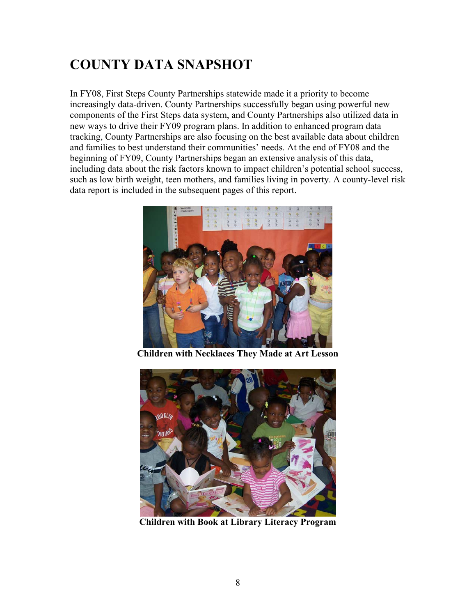## **COUNTY DATA SNAPSHOT**

In FY08, First Steps County Partnerships statewide made it a priority to become increasingly data-driven. County Partnerships successfully began using powerful new components of the First Steps data system, and County Partnerships also utilized data in new ways to drive their FY09 program plans. In addition to enhanced program data tracking, County Partnerships are also focusing on the best available data about children and families to best understand their communities' needs. At the end of FY08 and the beginning of FY09, County Partnerships began an extensive analysis of this data, including data about the risk factors known to impact children's potential school success, such as low birth weight, teen mothers, and families living in poverty. A county-level risk data report is included in the subsequent pages of this report.



**Children with Necklaces They Made at Art Lesson** 



**Children with Book at Library Literacy Program**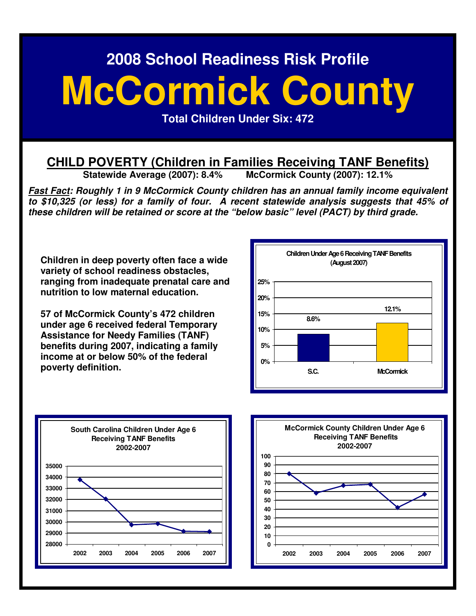# **McCormick County**

**Total Children Under Six: 472** 

## **CHILD POVERTY (Children in Families Receiving TANF Benefits)**<br>Statewide Average (2007): 8.4% McCormick County (2007): 12.1%

**Statewide Average (2007): 8.4%** 

**Fast Fact: Roughly 1 in 9 McCormick County children has an annual family income equivalent to \$10,325 (or less) for a family of four. A recent statewide analysis suggests that 45% of these children will be retained or score at the "below basic" level (PACT) by third grade.** 

**Children in deep poverty often face a wide variety of school readiness obstacles, ranging from inadequate prenatal care and nutrition to low maternal education.** 

**57 of McCormick County's 472 children under age 6 received federal Temporary Assistance for Needy Families (TANF) benefits during 2007, indicating a family income at or below 50% of the federal poverty definition.** 





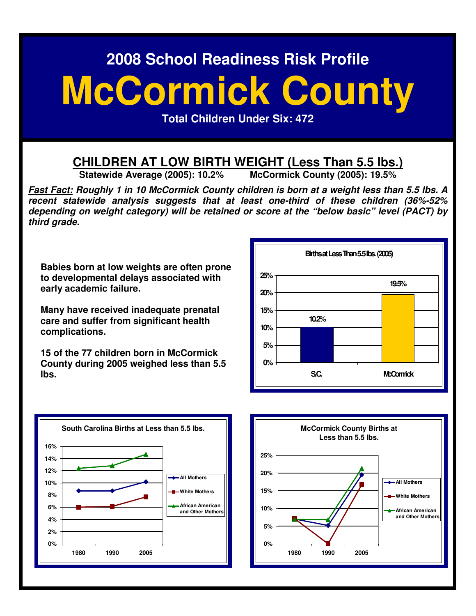# **McCormick County**

**Total Children Under Six: 472** 

## **CHILDREN AT LOW BIRTH WEIGHT (Less Than 5.5 lbs.)**<br>Statewide Average (2005): 10.2% McCormick County (2005): 19.5%

**Statewide Average (2005): 10.2%** 

**Fast Fact: Roughly 1 in 10 McCormick County children is born at a weight less than 5.5 lbs. A recent statewide analysis suggests that at least one-third of these children (36%-52% depending on weight category) will be retained or score at the "below basic" level (PACT) by third grade.** 

**Babies born at low weights are often prone to developmental delays associated with early academic failure.** 

**Many have received inadequate prenatal care and suffer from significant health complications.** 

**15 of the 77 children born in McCormick County during 2005 weighed less than 5.5 lbs.** 





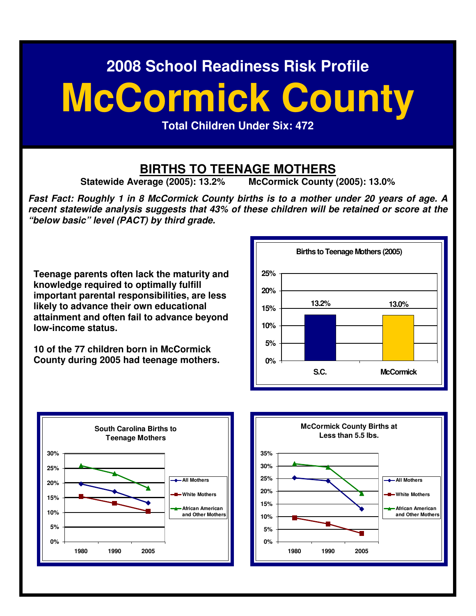# **McCormick County**

**Total Children Under Six: 472** 

## **BIRTHS TO TEENAGE MOTHERS**<br>erage (2005): 13.2% McCormick County (2005): 13.0%

**Statewide Average (2005): 13.2%** 

**Fast Fact: Roughly 1 in 8 McCormick County births is to a mother under 20 years of age. A recent statewide analysis suggests that 43% of these children will be retained or score at the "below basic" level (PACT) by third grade.** 

**Teenage parents often lack the maturity and knowledge required to optimally fulfill important parental responsibilities, are less likely to advance their own educational attainment and often fail to advance beyond low-income status.** 

**10 of the 77 children born in McCormick County during 2005 had teenage mothers.**